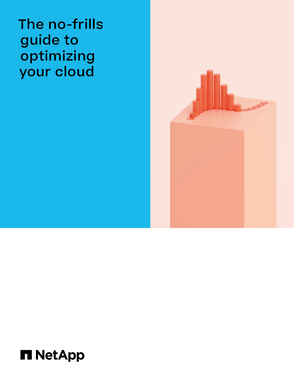The no-frills guide to optimizing your cloud



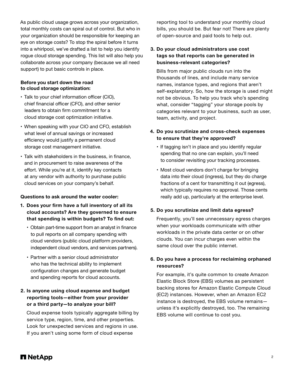As public cloud usage grows across your organization, total monthly costs can spiral out of control. But who in your organization should be responsible for keeping an eye on storage costs? To stop the spiral before it turns into a whirlpool, we've drafted a list to help you identify rogue cloud storage spending. This list will also help you collaborate across your company (because we all need support) to put basic controls in place.

#### **Before you start down the road to cloud storage optimization:**

- Talk to your chief information officer (CIO), chief financial officer (CFO), and other senior leaders to obtain firm commitment for a cloud storage cost optimization initiative.
- When speaking with your CIO and CFO, establish what level of annual savings or increased efficiency would justify a permanent cloud storage cost management initiative.
- Talk with stakeholders in the business, in finance, and in procurement to raise awareness of the effort. While you're at it, identify key contacts at any vendor with authority to purchase public cloud services on your company's behalf.

#### **Questions to ask around the water cooler:**

- **1. Does your firm have a full inventory of all its cloud accounts? Are they governed to ensure that spending is within budgets? To find out:**
	- Obtain part-time support from an analyst in finance to pull reports on all company spending with cloud vendors (public cloud platform providers, independent cloud vendors, and services partners).
	- Partner with a senior cloud administrator who has the technical ability to implement configuration changes and generate budget and spending reports for cloud accounts.

## **2. Is anyone using cloud expense and budget reporting tools—either from your provider or a third party—to analyze your bill?**

 Cloud expense tools typically aggregate billing by service type, region, time, and other properties. Look for unexpected services and regions in use. If you aren't using some form of cloud expense

reporting tool to understand your monthly cloud bills, you should be. But fear not! There are plenty of open-source and paid tools to help out.

### **3. Do your cloud administrators use cost tags so that reports can be generated in business-relevant categories?**

 Bills from major public clouds run into the thousands of lines, and include many service names, instance types, and regions that aren't self-explanatory. So, how the storage is used might not be obvious. To help you track who's spending what, consider "tagging" your storage pools by categories relevant to your business, such as user, team, activity, and project.

## **4. Do you scrutinize and cross-check expenses to ensure that they're approved?**

- If tagging isn't in place and you identify regular spending that no one can explain, you'll need to consider revisiting your tracking processes.
- Most cloud vendors don't charge for bringing data into their cloud (ingress), but they do charge fractions of a cent for transmitting it out (egress), which typically requires no approval. Those cents really add up, particularly at the enterprise level.

### **5. Do you scrutinize and limit data egress?**

 Frequently, you'll see unnecessary egress charges when your workloads communicate with other workloads in the private data center or on other clouds. You can incur charges even within the same cloud over the public internet.

## **6. Do you have a process for reclaiming orphaned resources?**

 For example, it's quite common to create Amazon Elastic Block Store (EBS) volumes as persistent backing stores for Amazon Elastic Compute Cloud (EC2) instances. However, when an Amazon EC2 instance is destroyed, the EBS volume remains unless it's explicitly destroyed, too. The remaining EBS volume will continue to cost you.